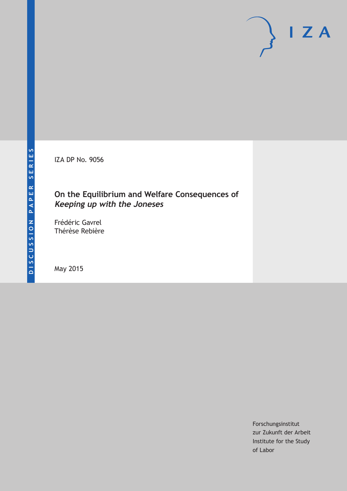IZA DP No. 9056

# **On the Equilibrium and Welfare Consequences of Keeping up with the Joneses**

Frédéric Gavrel Thérèse Rebière

May 2015

Forschungsinstitut zur Zukunft der Arbeit Institute for the Study of Labor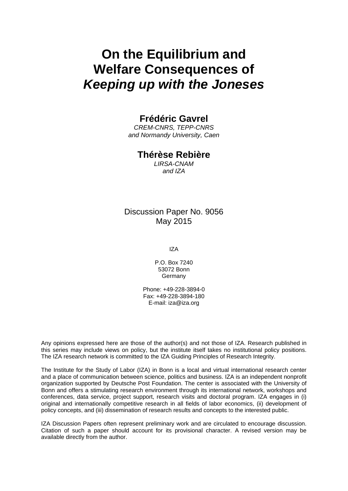# **On the Equilibrium and Welfare Consequences of** *Keeping up with the Joneses*

### **Frédéric Gavrel**

*CREM-CNRS, TEPP-CNRS and Normandy University, Caen*

### **Thérèse Rebière**

*LIRSA-CNAM and IZA*

### Discussion Paper No. 9056 May 2015

IZA

P.O. Box 7240 53072 Bonn Germany

Phone: +49-228-3894-0 Fax: +49-228-3894-180 E-mail: iza@iza.org

Any opinions expressed here are those of the author(s) and not those of IZA. Research published in this series may include views on policy, but the institute itself takes no institutional policy positions. The IZA research network is committed to the IZA Guiding Principles of Research Integrity.

The Institute for the Study of Labor (IZA) in Bonn is a local and virtual international research center and a place of communication between science, politics and business. IZA is an independent nonprofit organization supported by Deutsche Post Foundation. The center is associated with the University of Bonn and offers a stimulating research environment through its international network, workshops and conferences, data service, project support, research visits and doctoral program. IZA engages in (i) original and internationally competitive research in all fields of labor economics, (ii) development of policy concepts, and (iii) dissemination of research results and concepts to the interested public.

IZA Discussion Papers often represent preliminary work and are circulated to encourage discussion. Citation of such a paper should account for its provisional character. A revised version may be available directly from the author.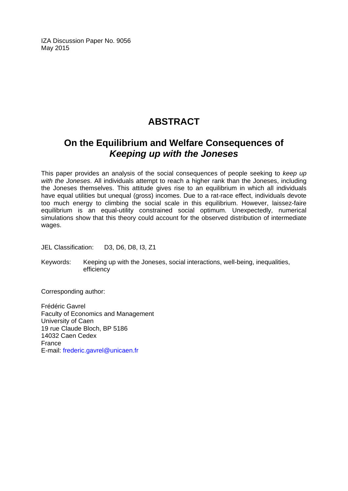IZA Discussion Paper No. 9056 May 2015

# **ABSTRACT**

# **On the Equilibrium and Welfare Consequences of** *Keeping up with the Joneses*

This paper provides an analysis of the social consequences of people seeking to *keep up with the Joneses*. All individuals attempt to reach a higher rank than the Joneses, including the Joneses themselves. This attitude gives rise to an equilibrium in which all individuals have equal utilities but unequal (gross) incomes. Due to a rat-race effect, individuals devote too much energy to climbing the social scale in this equilibrium. However, laissez-faire equilibrium is an equal-utility constrained social optimum. Unexpectedly, numerical simulations show that this theory could account for the observed distribution of intermediate wages.

JEL Classification: D3, D6, D8, I3, Z1

Keywords: Keeping up with the Joneses, social interactions, well-being, inequalities, efficiency

Corresponding author:

Frédéric Gavrel Faculty of Economics and Management University of Caen 19 rue Claude Bloch, BP 5186 14032 Caen Cedex France E-mail: [frederic.gavrel@unicaen.fr](mailto:frederic.gavrel@unicaen.fr)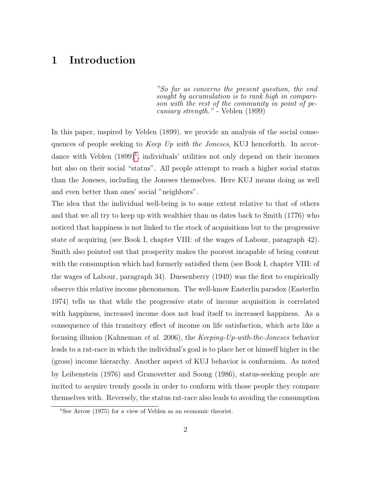# 1 Introduction

"So far as concerns the present question, the end sought by accumulation is to rank high in comparison with the rest of the community in point of pecuniary strength." - Veblen (1899)

In this paper, inspired by Veblen (1899), we provide an analysis of the social consequences of people seeking to Keep Up with the Joneses, KUJ henceforth. In accordance with Veblen  $(1899)^1$  $(1899)^1$  $(1899)^1$ , individuals' utilities not only depend on their incomes but also on their social "status". All people attempt to reach a higher social status than the Joneses, including the Joneses themselves. Here KUJ means doing as well and even better than ones' social "neighbors".

The idea that the individual well-being is to some extent relative to that of others and that we all try to keep up with wealthier than us dates back to Smith (1776) who noticed that happiness is not linked to the stock of acquisitions but to the progressive state of acquiring (see Book I, chapter VIII: of the wages of Labour, paragraph 42). Smith also pointed out that prosperity makes the poorest incapable of being content with the consumption which had formerly satisfied them (see Book I, chapter VIII: of the wages of Labour, paragraph 34). Duesenberry (1949) was the first to empirically observe this relative income phenomenon. The well-know Easterlin paradox (Easterlin 1974) tells us that while the progressive state of income acquisition is correlated with happiness, increased income does not lead itself to increased happiness. As a consequence of this transitory effect of income on life satisfaction, which acts like a focusing illusion (Kahneman et al. 2006), the Keeping-Up-with-the-Joneses behavior leads to a rat-race in which the individual's goal is to place her or himself higher in the (gross) income hierarchy. Another aspect of KUJ behavior is conformism. As noted by Leibenstein (1976) and Granovetter and Soong (1986), status-seeking people are incited to acquire trendy goods in order to conform with those people they compare themselves with. Reversely, the status rat-race also leads to avoiding the consumption

<span id="page-3-0"></span><sup>1</sup>See Arrow (1975) for a view of Veblen as an economic theorist.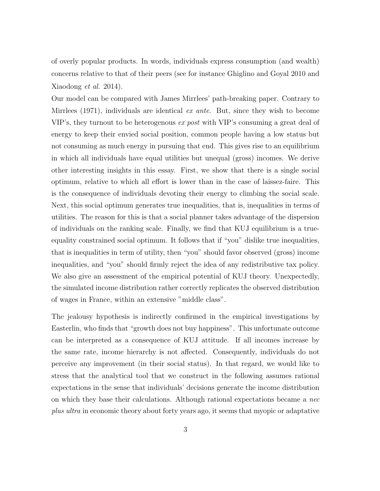of overly popular products. In words, individuals express consumption (and wealth) concerns relative to that of their peers (see for instance Ghiglino and Goyal 2010 and Xiaodong et al. 2014).

Our model can be compared with James Mirrlees' path-breaking paper. Contrary to Mirrlees (1971), individuals are identical  $ex$  ante. But, since they wish to become VIP's, they turnout to be heterogenous ex post with VIP's consuming a great deal of energy to keep their envied social position, common people having a low status but not consuming as much energy in pursuing that end. This gives rise to an equilibrium in which all individuals have equal utilities but unequal (gross) incomes. We derive other interesting insights in this essay. First, we show that there is a single social optimum, relative to which all effort is lower than in the case of laissez-faire. This is the consequence of individuals devoting their energy to climbing the social scale. Next, this social optimum generates true inequalities, that is, inequalities in terms of utilities. The reason for this is that a social planner takes advantage of the dispersion of individuals on the ranking scale. Finally, we find that KUJ equilibrium is a trueequality constrained social optimum. It follows that if "you" dislike true inequalities, that is inequalities in term of utility, then "you" should favor observed (gross) income inequalities, and "you" should firmly reject the idea of any redistributive tax policy. We also give an assessment of the empirical potential of KUJ theory. Unexpectedly, the simulated income distribution rather correctly replicates the observed distribution of wages in France, within an extensive "middle class".

The jealousy hypothesis is indirectly confirmed in the empirical investigations by Easterlin, who finds that "growth does not buy happiness". This unfortunate outcome can be interpreted as a consequence of KUJ attitude. If all incomes increase by the same rate, income hierarchy is not affected. Consequently, individuals do not perceive any improvement (in their social status). In that regard, we would like to stress that the analytical tool that we construct in the following assumes rational expectations in the sense that individuals' decisions generate the income distribution on which they base their calculations. Although rational expectations became a nec plus ultra in economic theory about forty years ago, it seems that myopic or adaptative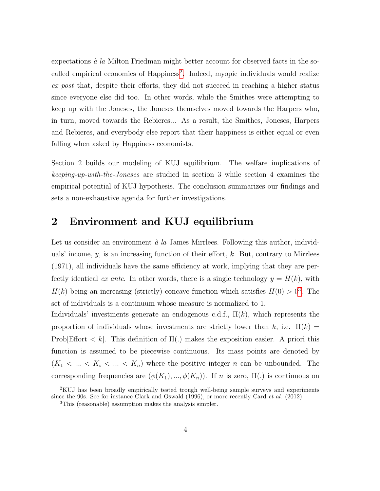expectations  $\dot{a}$  la Milton Friedman might better account for observed facts in the so-called empirical economics of Happiness<sup>[2](#page-5-0)</sup>. Indeed, myopic individuals would realize ex post that, despite their efforts, they did not succeed in reaching a higher status since everyone else did too. In other words, while the Smithes were attempting to keep up with the Joneses, the Joneses themselves moved towards the Harpers who, in turn, moved towards the Rebieres... As a result, the Smithes, Joneses, Harpers and Rebieres, and everybody else report that their happiness is either equal or even falling when asked by Happiness economists.

Section 2 builds our modeling of KUJ equilibrium. The welfare implications of keeping-up-with-the-Joneses are studied in section 3 while section 4 examines the empirical potential of KUJ hypothesis. The conclusion summarizes our findings and sets a non-exhaustive agenda for further investigations.

### 2 Environment and KUJ equilibrium

Let us consider an environment  $\dot{a}$  la James Mirrlees. Following this author, individuals' income,  $y$ , is an increasing function of their effort,  $k$ . But, contrary to Mirrlees (1971), all individuals have the same efficiency at work, implying that they are perfectly identical ex ante. In other words, there is a single technology  $y = H(k)$ , with  $H(k)$  being an increasing (strictly) concave function which satisfies  $H(0) > 0<sup>3</sup>$  $H(0) > 0<sup>3</sup>$  $H(0) > 0<sup>3</sup>$ . The set of individuals is a continuum whose measure is normalized to 1.

Individuals' investments generate an endogenous c.d.f.,  $\Pi(k)$ , which represents the proportion of individuals whose investments are strictly lower than k, i.e.  $\Pi(k)$ Prob[Effort  $\langle k|$ . This definition of  $\Pi(.)$  makes the exposition easier. A priori this function is assumed to be piecewise continuous. Its mass points are denoted by  $(K_1 < ... < K_i < ... < K_n)$  where the positive integer n can be unbounded. The corresponding frequencies are  $(\phi(K_1), ..., \phi(K_n))$ . If n is zero,  $\Pi(.)$  is continuous on

<span id="page-5-0"></span><sup>2</sup>KUJ has been broadly empirically tested trough well-being sample surveys and experiments since the 90s. See for instance Clark and Oswald (1996), or more recently Card *et al.* (2012).

<span id="page-5-1"></span><sup>3</sup>This (reasonable) assumption makes the analysis simpler.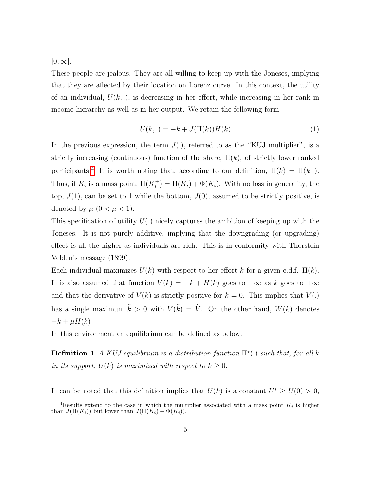$[0,\infty[$ .

These people are jealous. They are all willing to keep up with the Joneses, implying that they are affected by their location on Lorenz curve. In this context, the utility of an individual,  $U(k,.)$ , is decreasing in her effort, while increasing in her rank in income hierarchy as well as in her output. We retain the following form

<span id="page-6-1"></span>
$$
U(k, .) = -k + J(\Pi(k))H(k)
$$
\n(1)

In the previous expression, the term  $J(.)$ , referred to as the "KUJ multiplier", is a strictly increasing (continuous) function of the share,  $\Pi(k)$ , of strictly lower ranked participants.<sup>[4](#page-6-0)</sup> It is worth noting that, according to our definition,  $\Pi(k) = \Pi(k^{-})$ . Thus, if  $K_i$  is a mass point,  $\Pi(K_i^+) = \Pi(K_i) + \Phi(K_i)$ . With no loss in generality, the top,  $J(1)$ , can be set to 1 while the bottom,  $J(0)$ , assumed to be strictly positive, is denoted by  $\mu$   $(0 < \mu < 1)$ .

This specification of utility  $U(.)$  nicely captures the ambition of keeping up with the Joneses. It is not purely additive, implying that the downgrading (or upgrading) effect is all the higher as individuals are rich. This is in conformity with Thorstein Veblen's message (1899).

Each individual maximizes  $U(k)$  with respect to her effort k for a given c.d.f.  $\Pi(k)$ . It is also assumed that function  $V(k) = -k + H(k)$  goes to  $-\infty$  as k goes to  $+\infty$ and that the derivative of  $V(k)$  is strictly positive for  $k = 0$ . This implies that  $V(.)$ has a single maximum  $\tilde{k} > 0$  with  $V(\tilde{k}) = \tilde{V}$ . On the other hand,  $W(k)$  denotes  $-k + \mu H(k)$ 

In this environment an equilibrium can be defined as below.

**Definition 1** A KUJ equilibrium is a distribution function  $\Pi^*(.)$  such that, for all k in its support,  $U(k)$  is maximized with respect to  $k \geq 0$ .

It can be noted that this definition implies that  $U(k)$  is a constant  $U^* \geq U(0) > 0$ ,

<span id="page-6-0"></span><sup>&</sup>lt;sup>4</sup>Results extend to the case in which the multiplier associated with a mass point  $K_i$  is higher than  $J(\Pi(K_i))$  but lower than  $J(\Pi(K_i) + \Phi(K_i)).$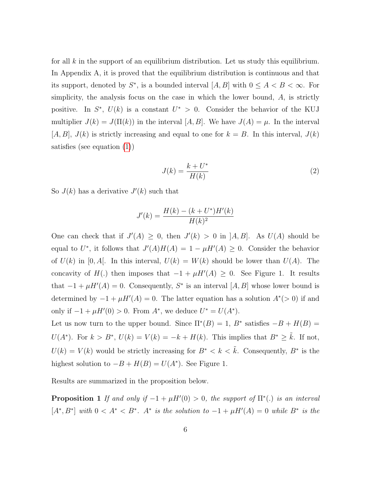for all  $k$  in the support of an equilibrium distribution. Let us study this equilibrium. In Appendix A, it is proved that the equilibrium distribution is continuous and that its support, denoted by  $S^*$ , is a bounded interval  $[A, B]$  with  $0 \leq A < B < \infty$ . For simplicity, the analysis focus on the case in which the lower bound, A, is strictly positive. In  $S^*$ ,  $U(k)$  is a constant  $U^* > 0$ . Consider the behavior of the KUJ multiplier  $J(k) = J(\Pi(k))$  in the interval  $[A, B]$ . We have  $J(A) = \mu$ . In the interval  $[A, B], J(k)$  is strictly increasing and equal to one for  $k = B$ . In this interval,  $J(k)$ satisfies (see equation [\(1\)](#page-6-1))

$$
J(k) = \frac{k + U^*}{H(k)}\tag{2}
$$

So  $J(k)$  has a derivative  $J'(k)$  such that

$$
J'(k) = \frac{H(k) - (k + U^*)H'(k)}{H(k)^2}
$$

One can check that if  $J'(A) \geq 0$ , then  $J'(k) > 0$  in  $[A, B]$ . As  $U(A)$  should be equal to U<sup>\*</sup>, it follows that  $J'(A)H(A) = 1 - \mu H'(A) \geq 0$ . Consider the behavior of  $U(k)$  in [0, A[. In this interval,  $U(k) = W(k)$  should be lower than  $U(A)$ . The concavity of  $H(.)$  then imposes that  $-1 + \mu H'(A) \geq 0$ . See Figure 1. It results that  $-1 + \mu H'(A) = 0$ . Consequently, S<sup>\*</sup> is an interval [A, B] whose lower bound is determined by  $-1 + \mu H'(A) = 0$ . The latter equation has a solution  $A^*(>0)$  if and only if  $-1 + \mu H'(0) > 0$ . From  $A^*$ , we deduce  $U^* = U(A^*)$ .

Let us now turn to the upper bound. Since  $\Pi^*(B) = 1$ ,  $B^*$  satisfies  $-B + H(B) =$  $U(A^*)$ . For  $k > B^*$ ,  $U(k) = V(k) = -k + H(k)$ . This implies that  $B^* \geq \tilde{k}$ . If not,  $U(k) = V(k)$  would be strictly increasing for  $B^* < k < \tilde{k}$ . Consequently,  $B^*$  is the highest solution to  $-B + H(B) = U(A^*)$ . See Figure 1.

Results are summarized in the proposition below.

**Proposition 1** If and only if  $-1 + \mu H'(0) > 0$ , the support of  $\Pi^*(.)$  is an interval  $[A^*,B^*]$  with  $0 < A^* < B^*$ .  $A^*$  is the solution to  $-1 + \mu H'(A) = 0$  while  $B^*$  is the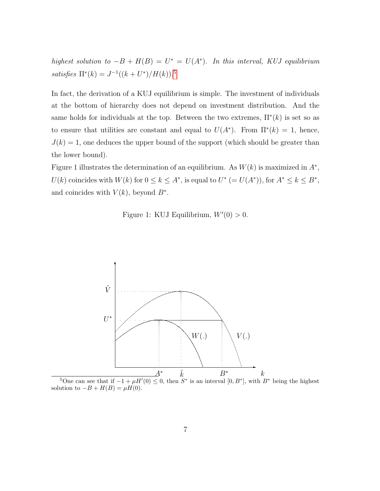highest solution to  $-B + H(B) = U^* = U(A^*)$ . In this interval, KUJ equilibrium satisfies  $\Pi^*(k) = J^{-1}((k+U^*)/H(k))$ .<sup>[5](#page-8-0)</sup>

In fact, the derivation of a KUJ equilibrium is simple. The investment of individuals at the bottom of hierarchy does not depend on investment distribution. And the same holds for individuals at the top. Between the two extremes,  $\Pi^*(k)$  is set so as to ensure that utilities are constant and equal to  $U(A^*)$ . From  $\Pi^*(k) = 1$ , hence,  $J(k) = 1$ , one deduces the upper bound of the support (which should be greater than the lower bound).

Figure 1 illustrates the determination of an equilibrium. As  $W(k)$  is maximized in  $A^*$ ,  $U(k)$  coincides with  $W(k)$  for  $0 \leq k \leq A^*$ , is equal to  $U^*$   $(= U(A^*))$ , for  $A^* \leq k \leq B^*$ , and coincides with  $V(k)$ , beyond  $B^*$ .

Figure 1: KUJ Equilibrium,  $W'(0) > 0$ .



<span id="page-8-0"></span><sup>5</sup>One can see that if  $-1 + \mu H'(0) \leq 0$ , then  $S^*$  is an interval  $[0, B^*]$ , with  $B^*$  being the highest solution to  $-B + H(B) = \mu H(0)$ .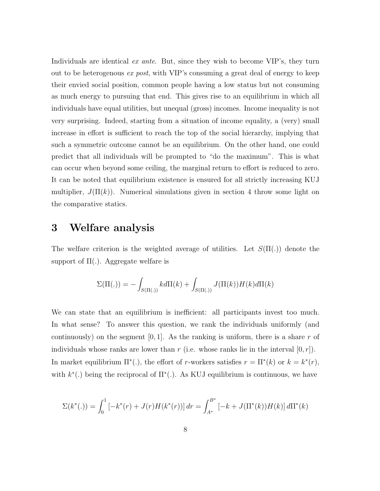Individuals are identical *ex ante.* But, since they wish to become VIP's, they turn out to be heterogenous ex post, with VIP's consuming a great deal of energy to keep their envied social position, common people having a low status but not consuming as much energy to pursuing that end. This gives rise to an equilibrium in which all individuals have equal utilities, but unequal (gross) incomes. Income inequality is not very surprising. Indeed, starting from a situation of income equality, a (very) small increase in effort is sufficient to reach the top of the social hierarchy, implying that such a symmetric outcome cannot be an equilibrium. On the other hand, one could predict that all individuals will be prompted to "do the maximum". This is what can occur when beyond some ceiling, the marginal return to effort is reduced to zero. It can be noted that equilibrium existence is ensured for all strictly increasing KUJ multiplier,  $J(\Pi(k))$ . Numerical simulations given in section 4 throw some light on the comparative statics.

### 3 Welfare analysis

The welfare criterion is the weighted average of utilities. Let  $S(\Pi(.))$  denote the support of  $\Pi(.)$ . Aggregate welfare is

$$
\Sigma(\Pi(.)) = -\int_{S(\Pi(.))} k d\Pi(k) + \int_{S(\Pi(.))} J(\Pi(k))H(k) d\Pi(k)
$$

We can state that an equilibrium is inefficient: all participants invest too much. In what sense? To answer this question, we rank the individuals uniformly (and continuously) on the segment  $[0, 1]$ . As the ranking is uniform, there is a share r of individuals whose ranks are lower than r (i.e. whose ranks lie in the interval  $[0, r]$ ). In market equilibrium  $\Pi^*(.)$ , the effort of r-workers satisfies  $r = \Pi^*(k)$  or  $k = k^*(r)$ , with  $k^*$ (.) being the reciprocal of  $\Pi^*$ (.). As KUJ equilibrium is continuous, we have

$$
\Sigma(k^*(.) = \int_0^1 \left[ -k^*(r) + J(r)H(k^*(r)) \right] dr = \int_{A^*}^{B^*} \left[ -k + J(\Pi^*(k))H(k) \right] d\Pi^*(k)
$$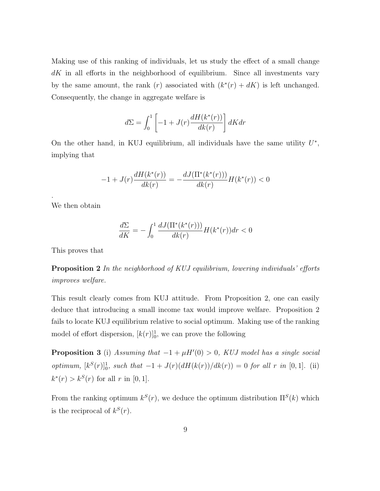Making use of this ranking of individuals, let us study the effect of a small change  $dK$  in all efforts in the neighborhood of equilibrium. Since all investments vary by the same amount, the rank  $(r)$  associated with  $(k^*(r) + dK)$  is left unchanged. Consequently, the change in aggregate welfare is

$$
d\Sigma=\int_0^1\left[-1+J(r)\frac{dH(k^*(r))}{dk(r)}\right]dKdr
$$

On the other hand, in KUJ equilibrium, all individuals have the same utility  $U^*$ , implying that

$$
-1 + J(r)\frac{dH(k^*(r))}{dk(r)} = -\frac{dJ(\Pi^*(k^*(r)))}{dk(r)}H(k^*(r)) < 0
$$

We then obtain

.

$$
\frac{d\Sigma}{dK} = -\int_0^1 \frac{dJ(\Pi^*(k^*(r)))}{dk(r)} H(k^*(r)) dr < 0
$$

This proves that

**Proposition 2** In the neighborhood of KUJ equilibrium, lowering individuals' efforts improves welfare.

This result clearly comes from KUJ attitude. From Proposition 2, one can easily deduce that introducing a small income tax would improve welfare. Proposition 2 fails to locate KUJ equilibrium relative to social optimum. Making use of the ranking model of effort dispersion,  $[k(r)]_0^1$ , we can prove the following

**Proposition 3** (i) Assuming that  $-1 + \mu H'(0) > 0$ , KUJ model has a single social optimum,  $[k^{S}(r)]_{0}^{1}$ , such that  $-1 + J(r)(dH(k(r))/dk(r)) = 0$  for all r in [0, 1]. (ii)  $k^*(r) > k^S(r)$  for all r in [0, 1].

From the ranking optimum  $k^{S}(r)$ , we deduce the optimum distribution  $\Pi^{S}(k)$  which is the reciprocal of  $k^{S}(r)$ .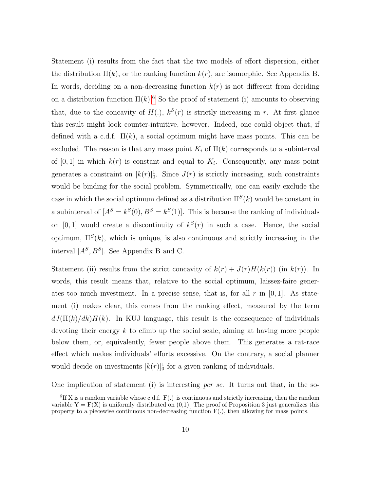Statement (i) results from the fact that the two models of effort dispersion, either the distribution  $\Pi(k)$ , or the ranking function  $k(r)$ , are isomorphic. See Appendix B. In words, deciding on a non-decreasing function  $k(r)$  is not different from deciding on a distribution function  $\Pi(k)$ .<sup>[6](#page-11-0)</sup> So the proof of statement (i) amounts to observing that, due to the concavity of  $H(.)$ ,  $k^{S}(r)$  is strictly increasing in r. At first glance this result might look counter-intuitive, however. Indeed, one could object that, if defined with a c.d.f.  $\Pi(k)$ , a social optimum might have mass points. This can be excluded. The reason is that any mass point  $K_i$  of  $\Pi(k)$  corresponds to a subinterval of  $[0,1]$  in which  $k(r)$  is constant and equal to  $K_i$ . Consequently, any mass point generates a constraint on  $[k(r)]_0^1$ . Since  $J(r)$  is strictly increasing, such constraints would be binding for the social problem. Symmetrically, one can easily exclude the case in which the social optimum defined as a distribution  $\Pi^{S}(k)$  would be constant in a subinterval of  $[A<sup>S</sup> = k<sup>S</sup>(0), B<sup>S</sup> = k<sup>S</sup>(1)].$  This is because the ranking of individuals on [0, 1] would create a discontinuity of  $k^{S}(r)$  in such a case. Hence, the social optimum,  $\Pi^{S}(k)$ , which is unique, is also continuous and strictly increasing in the interval  $[A<sup>S</sup>, B<sup>S</sup>]$ . See Appendix B and C.

Statement (ii) results from the strict concavity of  $k(r) + J(r)H(k(r))$  (in  $k(r)$ ). In words, this result means that, relative to the social optimum, laissez-faire generates too much investment. In a precise sense, that is, for all  $r$  in  $[0, 1]$ . As statement (i) makes clear, this comes from the ranking effect, measured by the term  $dJ(\Pi(k)/dk)H(k)$ . In KUJ language, this result is the consequence of individuals devoting their energy  $k$  to climb up the social scale, aiming at having more people below them, or, equivalently, fewer people above them. This generates a rat-race effect which makes individuals' efforts excessive. On the contrary, a social planner would decide on investments  $[k(r)]_0^1$  for a given ranking of individuals.

One implication of statement (i) is interesting per se. It turns out that, in the so-

<span id="page-11-0"></span> ${}^{6}$ If X is a random variable whose c.d.f. F(.) is continuous and strictly increasing, then the random variable  $Y = F(X)$  is uniformly distributed on  $(0,1)$ . The proof of Proposition 3 just generalizes this property to a piecewise continuous non-decreasing function  $F(.)$ , then allowing for mass points.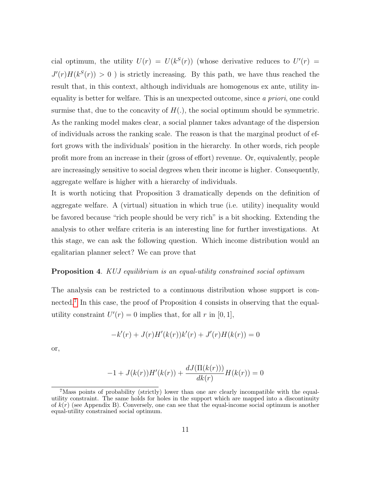cial optimum, the utility  $U(r) = U(k^{S}(r))$  (whose derivative reduces to  $U'(r) =$  $J'(r)H(k<sup>S</sup>(r)) > 0$ ) is strictly increasing. By this path, we have thus reached the result that, in this context, although individuals are homogenous ex ante, utility inequality is better for welfare. This is an unexpected outcome, since a priori, one could surmise that, due to the concavity of  $H(.)$ , the social optimum should be symmetric. As the ranking model makes clear, a social planner takes advantage of the dispersion of individuals across the ranking scale. The reason is that the marginal product of effort grows with the individuals' position in the hierarchy. In other words, rich people profit more from an increase in their (gross of effort) revenue. Or, equivalently, people are increasingly sensitive to social degrees when their income is higher. Consequently, aggregate welfare is higher with a hierarchy of individuals.

It is worth noticing that Proposition 3 dramatically depends on the definition of aggregate welfare. A (virtual) situation in which true (i.e. utility) inequality would be favored because "rich people should be very rich" is a bit shocking. Extending the analysis to other welfare criteria is an interesting line for further investigations. At this stage, we can ask the following question. Which income distribution would an egalitarian planner select? We can prove that

#### **Proposition 4.** KUJ equilibrium is an equal-utility constrained social optimum

The analysis can be restricted to a continuous distribution whose support is con-nected.<sup>[7](#page-12-0)</sup> In this case, the proof of Proposition 4 consists in observing that the equalutility constraint  $U'(r) = 0$  implies that, for all r in [0, 1],

$$
-k'(r) + J(r)H'(k(r))k'(r) + J'(r)H(k(r)) = 0
$$

or,

$$
-1 + J(k(r))H'(k(r)) + \frac{dJ(\Pi(k(r)))}{dk(r)}H(k(r)) = 0
$$

<span id="page-12-0"></span><sup>&</sup>lt;sup>7</sup>Mass points of probability (strictly) lower than one are clearly incompatible with the equalutility constraint. The same holds for holes in the support which are mapped into a discontinuity of  $k(r)$  (see Appendix B). Conversely, one can see that the equal-income social optimum is another equal-utility constrained social optimum.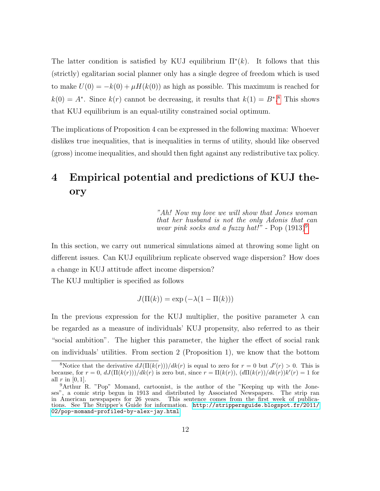The latter condition is satisfied by KUJ equilibrium  $\Pi^*(k)$ . It follows that this (strictly) egalitarian social planner only has a single degree of freedom which is used to make  $U(0) = -k(0) + \mu H(k(0))$  as high as possible. This maximum is reached for  $k(0) = A^*$ . Since  $k(r)$  cannot be decreasing, it results that  $k(1) = B^*$ .<sup>[8](#page-13-0)</sup> This shows that KUJ equilibrium is an equal-utility constrained social optimum.

The implications of Proposition 4 can be expressed in the following maxima: Whoever dislikes true inequalities, that is inequalities in terms of utility, should like observed (gross) income inequalities, and should then fight against any redistributive tax policy.

# 4 Empirical potential and predictions of KUJ theory

"Ah! Now my love we will show that Jones woman that her husband is not the only Adonis that can wear pink socks and a fuzzy hat!" - Pop  $(1913)^9$  $(1913)^9$  $(1913)^9$ 

In this section, we carry out numerical simulations aimed at throwing some light on different issues. Can KUJ equilibrium replicate observed wage dispersion? How does a change in KUJ attitude affect income dispersion?

The KUJ multiplier is specified as follows

 $J(\Pi(k)) = \exp(-\lambda(1 - \Pi(k)))$ 

In the previous expression for the KUJ multiplier, the positive parameter  $\lambda$  can be regarded as a measure of individuals' KUJ propensity, also referred to as their "social ambition". The higher this parameter, the higher the effect of social rank on individuals' utilities. From section 2 (Proposition 1), we know that the bottom

<span id="page-13-0"></span><sup>&</sup>lt;sup>8</sup>Notice that the derivative  $dJ(\Pi(k(r)))/dk(r)$  is equal to zero for  $r = 0$  but  $J'(r) > 0$ . This is because, for  $r = 0$ ,  $dJ(\Pi(k(r)))/dk(r)$  is zero but, since  $r = \Pi(k(r))$ ,  $(d\Pi(k(r))/dk(r))k'(r) = 1$  for all  $r$  in [0, 1].

<span id="page-13-1"></span><sup>&</sup>lt;sup>9</sup>Arthur R. "Pop" Momand, cartoonist, is the author of the "Keeping up with the Joneses", a comic strip begun in 1913 and distributed by Associated Newspapers. The strip ran in American newspapers for 26 years. This sentence comes from the first week of publications. See The Stripper's Guide for information. [http://strippersguide.blogspot.fr/2011/](http://strippersguide.blogspot.fr/2011/02/pop-momand-profiled-by-alex-jay.html) [02/pop-momand-profiled-by-alex-jay.html](http://strippersguide.blogspot.fr/2011/02/pop-momand-profiled-by-alex-jay.html)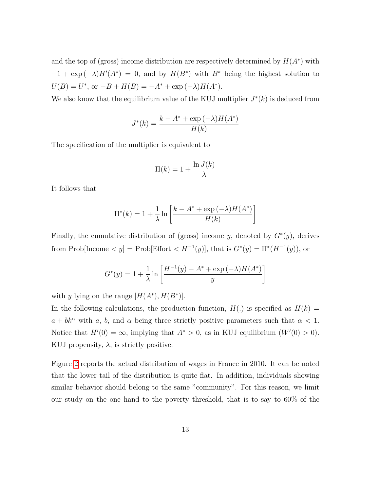and the top of (gross) income distribution are respectively determined by  $H(A^*)$  with  $-1 + \exp(-\lambda)H'(A^*) = 0$ , and by  $H(B^*)$  with  $B^*$  being the highest solution to  $U(B) = U^*$ , or  $-B + H(B) = -A^* + \exp(-\lambda)H(A^*)$ .

We also know that the equilibrium value of the KUJ multiplier  $J^*(k)$  is deduced from

$$
J^*(k) = \frac{k - A^* + \exp(-\lambda)H(A^*)}{H(k)}
$$

The specification of the multiplier is equivalent to

$$
\Pi(k) = 1 + \frac{\ln J(k)}{\lambda}
$$

It follows that

$$
\Pi^*(k) = 1 + \frac{1}{\lambda} \ln \left[ \frac{k - A^* + \exp(-\lambda)H(A^*)}{H(k)} \right]
$$

Finally, the cumulative distribution of (gross) income y, denoted by  $G^*(y)$ , derives from Prob[Income  $\langle y |$  = Prob[Effort  $\langle H^{-1}(y) |$ , that is  $G^*(y) = \Pi^*(H^{-1}(y))$ , or

$$
G^*(y) = 1 + \frac{1}{\lambda} \ln \left[ \frac{H^{-1}(y) - A^* + \exp(-\lambda)H(A^*)}{y} \right]
$$

with y lying on the range  $[H(A^*), H(B^*)].$ 

In the following calculations, the production function,  $H(.)$  is specified as  $H(k) =$  $a + bk^{\alpha}$  with a, b, and  $\alpha$  being three strictly positive parameters such that  $\alpha < 1$ . Notice that  $H'(0) = \infty$ , implying that  $A^* > 0$ , as in KUJ equilibrium  $(W'(0) > 0)$ . KUJ propensity,  $\lambda$ , is strictly positive.

Figure [2](#page-17-0) reports the actual distribution of wages in France in 2010. It can be noted that the lower tail of the distribution is quite flat. In addition, individuals showing similar behavior should belong to the same "community". For this reason, we limit our study on the one hand to the poverty threshold, that is to say to 60% of the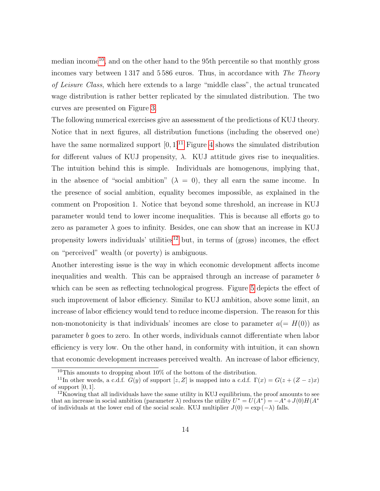median income<sup>[10](#page-15-0)</sup>, and on the other hand to the 95<sup>th</sup> percentile so that monthly gross incomes vary between 1 317 and 5 586 euros. Thus, in accordance with The Theory of Leisure Class, which here extends to a large "middle class", the actual truncated wage distribution is rather better replicated by the simulated distribution. The two curves are presented on Figure [3.](#page-17-1)

The following numerical exercises give an assessment of the predictions of KUJ theory. Notice that in next figures, all distribution functions (including the observed one) have the same normalized support  $[0, 1]^{11}$  $[0, 1]^{11}$  $[0, 1]^{11}$  Figure [4](#page-18-0) shows the simulated distribution for different values of KUJ propensity,  $\lambda$ . KUJ attitude gives rise to inequalities. The intuition behind this is simple. Individuals are homogenous, implying that, in the absence of "social ambition"  $(\lambda = 0)$ , they all earn the same income. In the presence of social ambition, equality becomes impossible, as explained in the comment on Proposition 1. Notice that beyond some threshold, an increase in KUJ parameter would tend to lower income inequalities. This is because all efforts go to zero as parameter  $\lambda$  goes to infinity. Besides, one can show that an increase in KUJ propensity lowers individuals' utilities<sup>[12](#page-15-2)</sup> but, in terms of (gross) incomes, the effect on "perceived" wealth (or poverty) is ambiguous.

Another interesting issue is the way in which economic development affects income inequalities and wealth. This can be appraised through an increase of parameter b which can be seen as reflecting technological progress. Figure [5](#page-18-1) depicts the effect of such improvement of labor efficiency. Similar to KUJ ambition, above some limit, an increase of labor efficiency would tend to reduce income dispersion. The reason for this non-monotonicity is that individuals' incomes are close to parameter  $a(=H(0))$  as parameter b goes to zero. In other words, individuals cannot differentiate when labor efficiency is very low. On the other hand, in conformity with intuition, it can shown that economic development increases perceived wealth. An increase of labor efficiency,

<span id="page-15-1"></span><span id="page-15-0"></span><sup>&</sup>lt;sup>10</sup>This amounts to dropping about  $10\%$  of the bottom of the distribution.

<sup>&</sup>lt;sup>11</sup>In other words, a c.d.f.  $G(y)$  of support [z, Z] is mapped into a c.d.f.  $\Gamma(x) = G(z + (Z - z)x)$ of support  $[0, 1]$ .

<span id="page-15-2"></span> $12$ Knowing that all individuals have the same utility in KUJ equilibrium, the proof amounts to see that an increase in social ambition (parameter  $\lambda$ ) reduces the utility  $U^* = U(A^*) = -A^* + J(0)H(A^*)$ of individuals at the lower end of the social scale. KUJ multiplier  $J(0) = \exp(-\lambda)$  falls.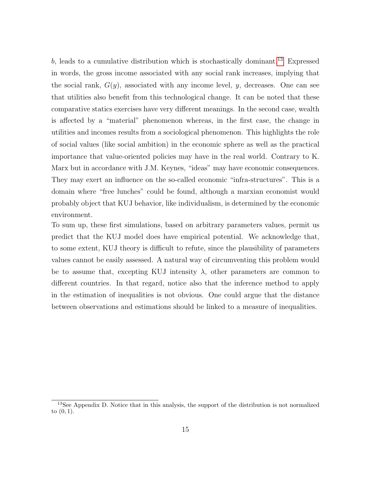$b$ , leads to a cumulative distribution which is stochastically dominant.<sup>[13](#page-16-0)</sup> Expressed in words, the gross income associated with any social rank increases, implying that the social rank,  $G(y)$ , associated with any income level, y, decreases. One can see that utilities also benefit from this technological change. It can be noted that these comparative statics exercises have very different meanings. In the second case, wealth is affected by a "material" phenomenon whereas, in the first case, the change in utilities and incomes results from a sociological phenomenon. This highlights the role of social values (like social ambition) in the economic sphere as well as the practical importance that value-oriented policies may have in the real world. Contrary to K. Marx but in accordance with J.M. Keynes, "ideas" may have economic consequences. They may exert an influence on the so-called economic "infra-structures". This is a domain where "free lunches" could be found, although a marxian economist would probably object that KUJ behavior, like individualism, is determined by the economic environment.

To sum up, these first simulations, based on arbitrary parameters values, permit us predict that the KUJ model does have empirical potential. We acknowledge that, to some extent, KUJ theory is difficult to refute, since the plausibility of parameters values cannot be easily assessed. A natural way of circumventing this problem would be to assume that, excepting KUJ intensity  $\lambda$ , other parameters are common to different countries. In that regard, notice also that the inference method to apply in the estimation of inequalities is not obvious. One could argue that the distance between observations and estimations should be linked to a measure of inequalities.

<span id="page-16-0"></span><sup>&</sup>lt;sup>13</sup>See Appendix D. Notice that in this analysis, the support of the distribution is not normalized to  $(0, 1)$ .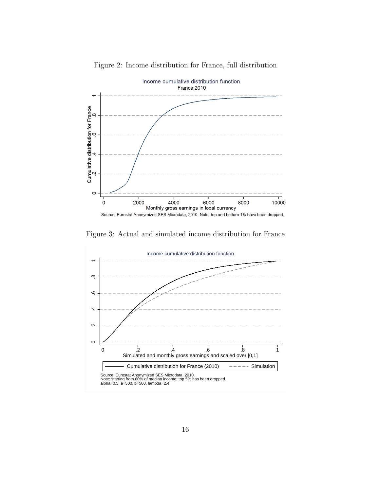

<span id="page-17-0"></span>Figure 2: Income distribution for France, full distribution

<span id="page-17-1"></span>Figure 3: Actual and simulated income distribution for France

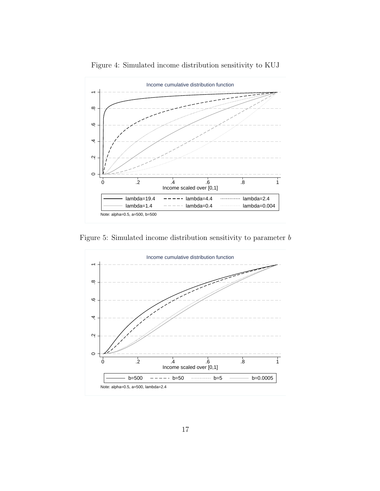

<span id="page-18-0"></span>Figure 4: Simulated income distribution sensitivity to KUJ

<span id="page-18-1"></span>Figure 5: Simulated income distribution sensitivity to parameter b

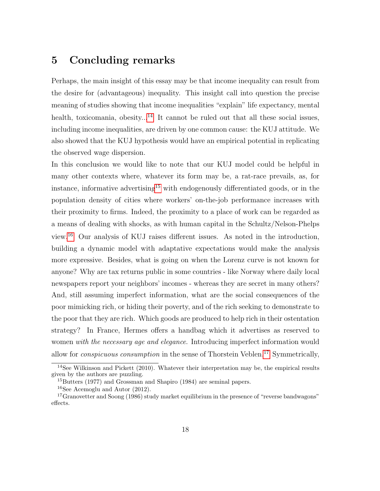### 5 Concluding remarks

Perhaps, the main insight of this essay may be that income inequality can result from the desire for (advantageous) inequality. This insight call into question the precise meaning of studies showing that income inequalities "explain" life expectancy, mental health, toxicomania, obesity...<sup>[14](#page-19-0)</sup> It cannot be ruled out that all these social issues. including income inequalities, are driven by one common cause: the KUJ attitude. We also showed that the KUJ hypothesis would have an empirical potential in replicating the observed wage dispersion.

In this conclusion we would like to note that our KUJ model could be helpful in many other contexts where, whatever its form may be, a rat-race prevails, as, for instance, informative advertising<sup>[15](#page-19-1)</sup> with endogenously differentiated goods, or in the population density of cities where workers' on-the-job performance increases with their proximity to firms. Indeed, the proximity to a place of work can be regarded as a means of dealing with shocks, as with human capital in the Schultz/Nelson-Phelps view.[16](#page-19-2) Our analysis of KUJ raises different issues. As noted in the introduction, building a dynamic model with adaptative expectations would make the analysis more expressive. Besides, what is going on when the Lorenz curve is not known for anyone? Why are tax returns public in some countries - like Norway where daily local newspapers report your neighbors' incomes - whereas they are secret in many others? And, still assuming imperfect information, what are the social consequences of the poor mimicking rich, or hiding their poverty, and of the rich seeking to demonstrate to the poor that they are rich. Which goods are produced to help rich in their ostentation strategy? In France, Hermes offers a handbag which it advertises as reserved to women with the necessary age and elegance. Introducing imperfect information would allow for *conspicuous consumption* in the sense of Thorstein Veblen.<sup>[17](#page-19-3)</sup> Symmetrically,

<span id="page-19-0"></span><sup>&</sup>lt;sup>14</sup>See Wilkinson and Pickett  $(2010)$ . Whatever their interpretation may be, the empirical results given by the authors are puzzling.

<span id="page-19-1"></span><sup>&</sup>lt;sup>15</sup>Butters (1977) and Grossman and Shapiro (1984) are seminal papers.

<span id="page-19-3"></span><span id="page-19-2"></span><sup>16</sup>See Acemoglu and Autor (2012).

<sup>&</sup>lt;sup>17</sup>Granovetter and Soong (1986) study market equilibrium in the presence of "reverse bandwagons" effects.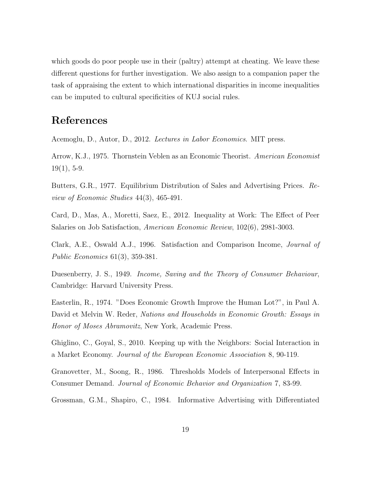which goods do poor people use in their (paltry) attempt at cheating. We leave these different questions for further investigation. We also assign to a companion paper the task of appraising the extent to which international disparities in income inequalities can be imputed to cultural specificities of KUJ social rules.

# References

Acemoglu, D., Autor, D., 2012. Lectures in Labor Economics. MIT press.

Arrow, K.J., 1975. Thornstein Veblen as an Economic Theorist. American Economist  $19(1), 5-9.$ 

Butters, G.R., 1977. Equilibrium Distribution of Sales and Advertising Prices. Review of Economic Studies 44(3), 465-491.

Card, D., Mas, A., Moretti, Saez, E., 2012. Inequality at Work: The Effect of Peer Salaries on Job Satisfaction, American Economic Review, 102(6), 2981-3003.

Clark, A.E., Oswald A.J., 1996. Satisfaction and Comparison Income, Journal of Public Economics 61(3), 359-381.

Duesenberry, J. S., 1949. Income, Saving and the Theory of Consumer Behaviour, Cambridge: Harvard University Press.

Easterlin, R., 1974. "Does Economic Growth Improve the Human Lot?", in Paul A. David et Melvin W. Reder, Nations and Households in Economic Growth: Essays in Honor of Moses Abramovitz, New York, Academic Press.

Ghiglino, C., Goyal, S., 2010. Keeping up with the Neighbors: Social Interaction in a Market Economy. Journal of the European Economic Association 8, 90-119.

Granovetter, M., Soong, R., 1986. Thresholds Models of Interpersonal Effects in Consumer Demand. Journal of Economic Behavior and Organization 7, 83-99.

Grossman, G.M., Shapiro, C., 1984. Informative Advertising with Differentiated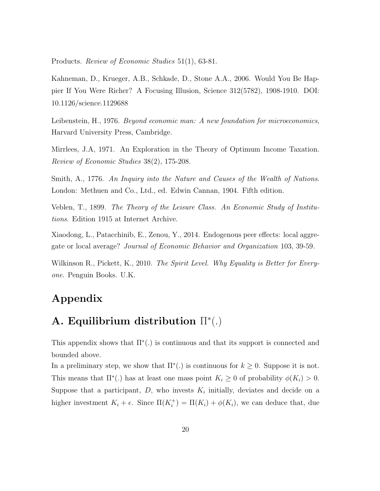Products. Review of Economic Studies 51(1), 63-81.

Kahneman, D., Krueger, A.B., Schkade, D., Stone A.A., 2006. Would You Be Happier If You Were Richer? A Focusing Illusion, Science 312(5782), 1908-1910. DOI: 10.1126/science.1129688

Leibenstein, H., 1976. Beyond economic man: A new foundation for microeconomics, Harvard University Press, Cambridge.

Mirrlees, J.A, 1971. An Exploration in the Theory of Optimum Income Taxation. Review of Economic Studies 38(2), 175-208.

Smith, A., 1776. An Inquiry into the Nature and Causes of the Wealth of Nations. London: Methuen and Co., Ltd., ed. Edwin Cannan, 1904. Fifth edition.

Veblen, T., 1899. The Theory of the Leisure Class. An Economic Study of Institutions. Edition 1915 at Internet Archive.

Xiaodong, L., Patacchinib, E., Zenou, Y., 2014. Endogenous peer effects: local aggregate or local average? Journal of Economic Behavior and Organization 103, 39-59.

Wilkinson R., Pickett, K., 2010. The Spirit Level. Why Equality is Better for Everyone. Penguin Books. U.K.

# Appendix

# A. Equilibrium distribution  $\Pi^*(.)$

This appendix shows that  $\Pi^*(.)$  is continuous and that its support is connected and bounded above.

In a preliminary step, we show that  $\Pi^*(.)$  is continuous for  $k \geq 0$ . Suppose it is not. This means that  $\Pi^*(.)$  has at least one mass point  $K_i \geq 0$  of probability  $\phi(K_i) > 0$ . Suppose that a participant,  $D$ , who invests  $K_i$  initially, deviates and decide on a higher investment  $K_i + \epsilon$ . Since  $\Pi(K_i^+) = \Pi(K_i) + \phi(K_i)$ , we can deduce that, due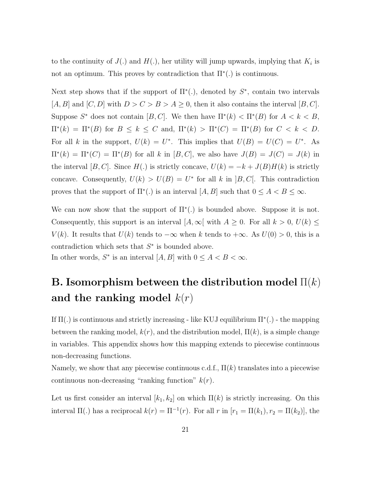to the continuity of  $J(.)$  and  $H(.)$ , her utility will jump upwards, implying that  $K_i$  is not an optimum. This proves by contradiction that  $\Pi^*(.)$  is continuous.

Next step shows that if the support of  $\Pi^*(.)$ , denoted by  $S^*$ , contain two intervals  $[A, B]$  and  $[C, D]$  with  $D > C > B > A \geq 0$ , then it also contains the interval  $[B, C]$ . Suppose  $S^*$  does not contain  $[B, C]$ . We then have  $\Pi^*(k) < \Pi^*(B)$  for  $A < k < B$ ,  $\Pi^*(k) = \Pi^*(B)$  for  $B \le k \le C$  and,  $\Pi^*(k) > \Pi^*(C) = \Pi^*(B)$  for  $C < k < D$ . For all k in the support,  $U(k) = U^*$ . This implies that  $U(B) = U(C) = U^*$ . As  $\Pi^*(k) = \Pi^*(C) = \Pi^*(B)$  for all k in  $[B, C]$ , we also have  $J(B) = J(C) = J(k)$  in the interval [B, C]. Since  $H(.)$  is strictly concave,  $U(k) = -k + J(B)H(k)$  is strictly concave. Consequently,  $U(k) > U(B) = U^*$  for all k in  $B, C$ . This contradiction proves that the support of  $\Pi^*(.)$  is an interval  $[A, B]$  such that  $0 \leq A < B \leq \infty$ .

We can now show that the support of  $\Pi^*(.)$  is bounded above. Suppose it is not. Consequently, this support is an interval  $[A, \infty]$  with  $A \geq 0$ . For all  $k > 0$ ,  $U(k) \leq$  $V(k)$ . It results that  $U(k)$  tends to  $-\infty$  when k tends to  $+\infty$ . As  $U(0) > 0$ , this is a contradiction which sets that  $S^*$  is bounded above. In other words,  $S^*$  is an interval  $[A, B]$  with  $0 \leq A < B < \infty$ .

# B. Isomorphism between the distribution model  $\Pi(k)$ and the ranking model  $k(r)$

If  $\Pi(.)$  is continuous and strictly increasing - like KUJ equilibrium  $\Pi^*(.)$  - the mapping between the ranking model,  $k(r)$ , and the distribution model,  $\Pi(k)$ , is a simple change in variables. This appendix shows how this mapping extends to piecewise continuous non-decreasing functions.

Namely, we show that any piecewise continuous c.d.f.,  $\Pi(k)$  translates into a piecewise continuous non-decreasing "ranking function"  $k(r)$ .

Let us first consider an interval  $[k_1, k_2]$  on which  $\Pi(k)$  is strictly increasing. On this interval  $\Pi(.)$  has a reciprocal  $k(r) = \Pi^{-1}(r)$ . For all r in  $[r_1 = \Pi(k_1), r_2 = \Pi(k_2)]$ , the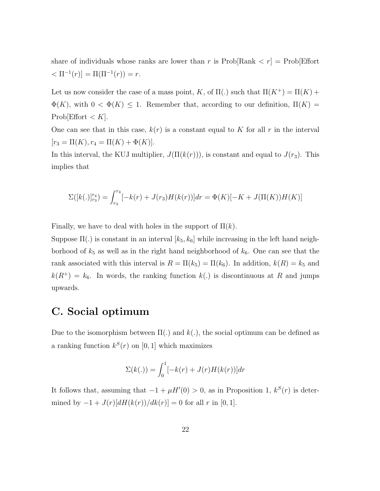share of individuals whose ranks are lower than r is  $\text{Prob}[\text{Rank} < r] = \text{Prob}[\text{Effort}$  $\langle \Pi^{-1}(r) \rangle = \Pi(\Pi^{-1}(r)) = r.$ 

Let us now consider the case of a mass point, K, of  $\Pi(.)$  such that  $\Pi(K^+) = \Pi(K)$  +  $\Phi(K)$ , with  $0 < \Phi(K) \leq 1$ . Remember that, according to our definition,  $\Pi(K) =$ Prob[Effort  $\lt K$ ].

One can see that in this case,  $k(r)$  is a constant equal to K for all r in the interval  $[r_3 = \Pi(K), r_4 = \Pi(K) + \Phi(K)].$ 

In this interval, the KUJ multiplier,  $J(\Pi(k(r)))$ , is constant and equal to  $J(r_3)$ . This implies that

$$
\Sigma([k(.)]_{r_3}^{r_4}) = \int_{r_3}^{r_4} [-k(r) + J(r_3)H(k(r))]dr = \Phi(K)[-K + J(\Pi(K))H(K)]
$$

Finally, we have to deal with holes in the support of  $\Pi(k)$ .

Suppose  $\Pi(.)$  is constant in an interval  $[k_5, k_6]$  while increasing in the left hand neighborhood of  $k_5$  as well as in the right hand neighborhood of  $k_6$ . One can see that the rank associated with this interval is  $R = \Pi(k_5) = \Pi(k_6)$ . In addition,  $k(R) = k_5$  and  $k(R^+) = k_6$ . In words, the ranking function  $k(.)$  is discontinuous at R and jumps upwards.

### C. Social optimum

Due to the isomorphism between  $\Pi(.)$  and  $k(.)$ , the social optimum can be defined as a ranking function  $k^{S}(r)$  on [0, 1] which maximizes

$$
\Sigma(k(.)) = \int_0^1 [-k(r) + J(r)H(k(r))]dr
$$

It follows that, assuming that  $-1 + \mu H(0) > 0$ , as in Proposition 1,  $k^{S}(r)$  is determined by  $-1 + J(r)[dH(k(r))/dk(r)] = 0$  for all r in [0, 1].